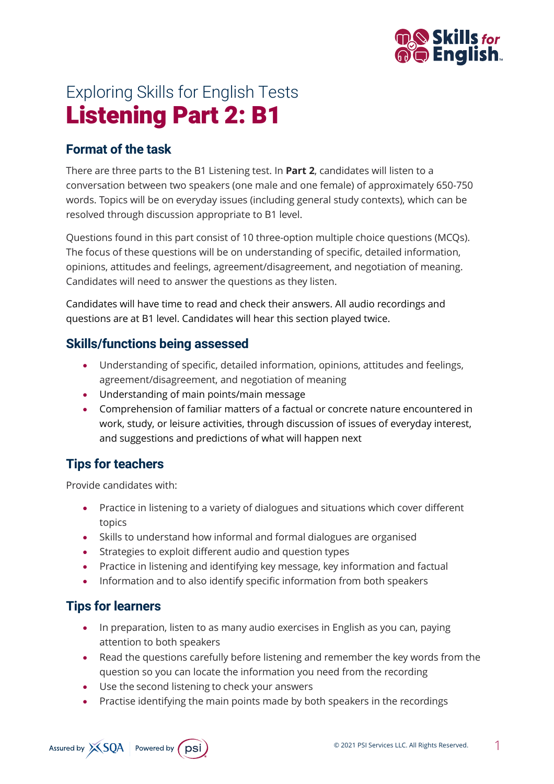

# Exploring Skills for English Tests Listening Part 2: B1

## **Format of the task**

There are three parts to the B1 Listening test. In **Part 2**, candidates will listen to a conversation between two speakers (one male and one female) of approximately 650-750 words. Topics will be on everyday issues (including general study contexts), which can be resolved through discussion appropriate to B1 level.

Questions found in this part consist of 10 three-option multiple choice questions (MCQs). The focus of these questions will be on understanding of specific, detailed information, opinions, attitudes and feelings, agreement/disagreement, and negotiation of meaning. Candidates will need to answer the questions as they listen.

Candidates will have time to read and check their answers. All audio recordings and questions are at B1 level. Candidates will hear this section played twice.

#### **Skills/functions being assessed**

- Understanding of specific, detailed information, opinions, attitudes and feelings, agreement/disagreement, and negotiation of meaning
- Understanding of main points/main message
- Comprehension of familiar matters of a factual or concrete nature encountered in work, study, or leisure activities, through discussion of issues of everyday interest, and suggestions and predictions of what will happen next

# **Tips for teachers**

Provide candidates with:

- Practice in listening to a variety of dialogues and situations which cover different topics
- Skills to understand how informal and formal dialogues are organised
- Strategies to exploit different audio and question types
- Practice in listening and identifying key message, key information and factual
- Information and to also identify specific information from both speakers

### **Tips for learners**

- In preparation, listen to as many audio exercises in English as you can, paying attention to both speakers
- Read the questions carefully before listening and remember the key words from the question so you can locate the information you need from the recording
- Use the second listening to check your answers
- Practise identifying the main points made by both speakers in the recordings

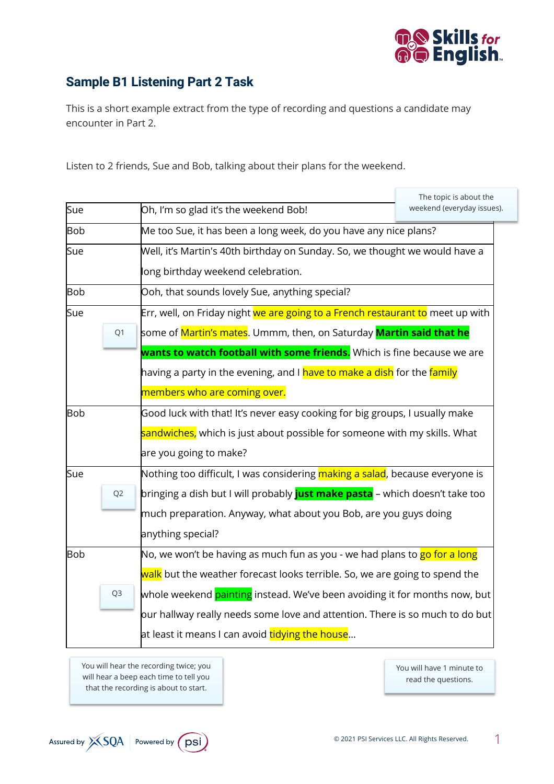

# **Sample B1 Listening Part 2 Task**

This is a short example extract from the type of recording and questions a candidate may encounter in Part 2.

Listen to 2 friends, Sue and Bob, talking about their plans for the weekend.

|                |                                                                                                   | The topic is about the                                                                         |  |
|----------------|---------------------------------------------------------------------------------------------------|------------------------------------------------------------------------------------------------|--|
| Sue            | Oh, I'm so glad it's the weekend Bob!                                                             | weekend (everyday issues).                                                                     |  |
| <b>Bob</b>     | Me too Sue, it has been a long week, do you have any nice plans?                                  |                                                                                                |  |
| Sue            | Well, it's Martin's 40th birthday on Sunday. So, we thought we would have a                       |                                                                                                |  |
|                | long birthday weekend celebration.                                                                |                                                                                                |  |
| <b>Bob</b>     | Ooh, that sounds lovely Sue, anything special?                                                    |                                                                                                |  |
| Sue            |                                                                                                   | Err, well, on Friday night we are going to a French restaurant to meet up with                 |  |
|                | Q1                                                                                                | some of <mark>Martin's mates</mark> . Ummm, then, on Saturday <mark>Martin said that he</mark> |  |
|                |                                                                                                   | wants to watch football with some friends. Which is fine because we are                        |  |
|                | having a party in the evening, and I <mark>have to make a dish</mark> for the <mark>family</mark> |                                                                                                |  |
|                | members who are coming over.                                                                      |                                                                                                |  |
| <b>Bob</b>     |                                                                                                   | Good luck with that! It's never easy cooking for big groups, I usually make                    |  |
|                | <mark>sandwiches,</mark> which is just about possible for someone with my skills. What            |                                                                                                |  |
|                | are you going to make?                                                                            |                                                                                                |  |
| Sue            | Nothing too difficult, I was considering making a salad, because everyone is                      |                                                                                                |  |
| Q <sub>2</sub> | bringing a dish but I will probably <mark>just make pasta</mark> – which doesn't take too         |                                                                                                |  |
|                | much preparation. Anyway, what about you Bob, are you guys doing                                  |                                                                                                |  |
|                | anything special?                                                                                 |                                                                                                |  |
| <b>Bob</b>     | No, we won't be having as much fun as you - we had plans to <mark>go for a long</mark>            |                                                                                                |  |
|                | <mark>walk</mark> but the weather forecast looks terrible. So, we are going to spend the          |                                                                                                |  |
|                | whole weekend <b>painting</b> instead. We've been avoiding it for months now, but<br>Q3           |                                                                                                |  |
|                | $\,$ our hallway really needs some love and attention. There is so much to do but                 |                                                                                                |  |
|                | at least it means I can avoid <mark>tidying the house</mark>                                      |                                                                                                |  |

You will hear the recording twice; you will hear a beep each time to tell you that the recording is about to start.

You will have 1 minute to read the questions.